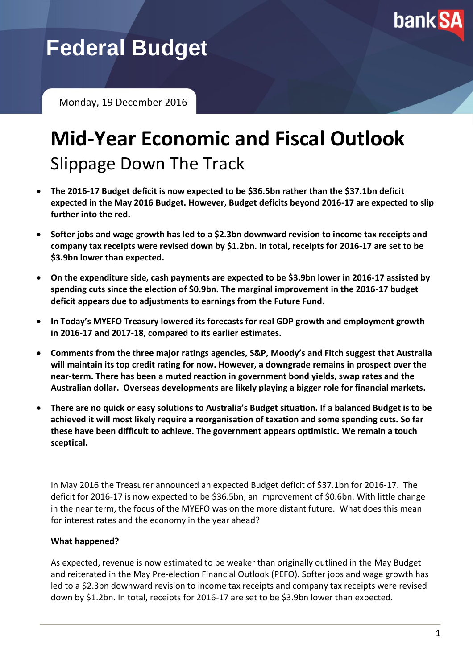

**Federal Budget**

Monday, 19 December 2016

# **Mid-Year Economic and Fiscal Outlook** Slippage Down The Track

- **The 2016-17 Budget deficit is now expected to be \$36.5bn rather than the \$37.1bn deficit expected in the May 2016 Budget. However, Budget deficits beyond 2016-17 are expected to slip further into the red.**
- **Softer jobs and wage growth has led to a \$2.3bn downward revision to income tax receipts and company tax receipts were revised down by \$1.2bn. In total, receipts for 2016-17 are set to be \$3.9bn lower than expected.**
- **On the expenditure side, cash payments are expected to be \$3.9bn lower in 2016-17 assisted by spending cuts since the election of \$0.9bn. The marginal improvement in the 2016-17 budget deficit appears due to adjustments to earnings from the Future Fund.**
- **In Today's MYEFO Treasury lowered its forecasts for real GDP growth and employment growth in 2016-17 and 2017-18, compared to its earlier estimates.**
- **Comments from the three major ratings agencies, S&P, Moody's and Fitch suggest that Australia will maintain its top credit rating for now. However, a downgrade remains in prospect over the near-term. There has been a muted reaction in government bond yields, swap rates and the Australian dollar. Overseas developments are likely playing a bigger role for financial markets.**
- **There are no quick or easy solutions to Australia's Budget situation. If a balanced Budget is to be achieved it will most likely require a reorganisation of taxation and some spending cuts. So far these have been difficult to achieve. The government appears optimistic. We remain a touch sceptical.**

In May 2016 the Treasurer announced an expected Budget deficit of \$37.1bn for 2016-17. The deficit for 2016-17 is now expected to be \$36.5bn, an improvement of \$0.6bn. With little change in the near term, the focus of the MYEFO was on the more distant future. What does this mean for interest rates and the economy in the year ahead?

#### **What happened?**

As expected, revenue is now estimated to be weaker than originally outlined in the May Budget and reiterated in the May Pre-election Financial Outlook (PEFO). Softer jobs and wage growth has led to a \$2.3bn downward revision to income tax receipts and company tax receipts were revised down by \$1.2bn. In total, receipts for 2016-17 are set to be \$3.9bn lower than expected.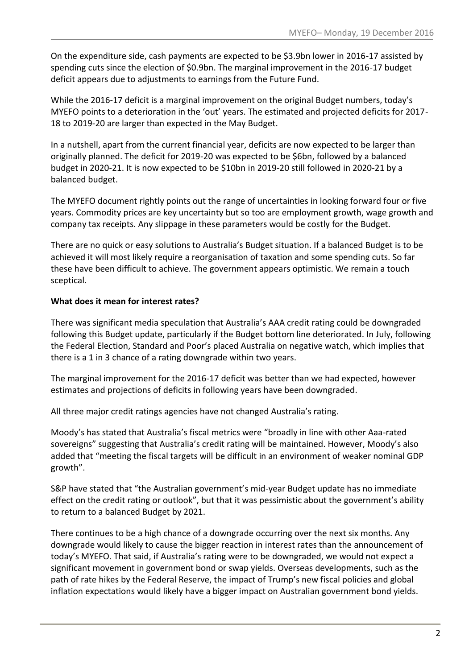On the expenditure side, cash payments are expected to be \$3.9bn lower in 2016-17 assisted by spending cuts since the election of \$0.9bn. The marginal improvement in the 2016-17 budget deficit appears due to adjustments to earnings from the Future Fund.

While the 2016-17 deficit is a marginal improvement on the original Budget numbers, today's MYEFO points to a deterioration in the 'out' years. The estimated and projected deficits for 2017- 18 to 2019-20 are larger than expected in the May Budget.

In a nutshell, apart from the current financial year, deficits are now expected to be larger than originally planned. The deficit for 2019-20 was expected to be \$6bn, followed by a balanced budget in 2020-21. It is now expected to be \$10bn in 2019-20 still followed in 2020-21 by a balanced budget.

The MYEFO document rightly points out the range of uncertainties in looking forward four or five years. Commodity prices are key uncertainty but so too are employment growth, wage growth and company tax receipts. Any slippage in these parameters would be costly for the Budget.

There are no quick or easy solutions to Australia's Budget situation. If a balanced Budget is to be achieved it will most likely require a reorganisation of taxation and some spending cuts. So far these have been difficult to achieve. The government appears optimistic. We remain a touch sceptical.

## **What does it mean for interest rates?**

There was significant media speculation that Australia's AAA credit rating could be downgraded following this Budget update, particularly if the Budget bottom line deteriorated. In July, following the Federal Election, Standard and Poor's placed Australia on negative watch, which implies that there is a 1 in 3 chance of a rating downgrade within two years.

The marginal improvement for the 2016-17 deficit was better than we had expected, however estimates and projections of deficits in following years have been downgraded.

All three major credit ratings agencies have not changed Australia's rating.

Moody's has stated that Australia's fiscal metrics were "broadly in line with other Aaa-rated sovereigns" suggesting that Australia's credit rating will be maintained. However, Moody's also added that "meeting the fiscal targets will be difficult in an environment of weaker nominal GDP growth".

S&P have stated that "the Australian government's mid-year Budget update has no immediate effect on the credit rating or outlook", but that it was pessimistic about the government's ability to return to a balanced Budget by 2021.

There continues to be a high chance of a downgrade occurring over the next six months. Any downgrade would likely to cause the bigger reaction in interest rates than the announcement of today's MYEFO. That said, if Australia's rating were to be downgraded, we would not expect a significant movement in government bond or swap yields. Overseas developments, such as the path of rate hikes by the Federal Reserve, the impact of Trump's new fiscal policies and global inflation expectations would likely have a bigger impact on Australian government bond yields.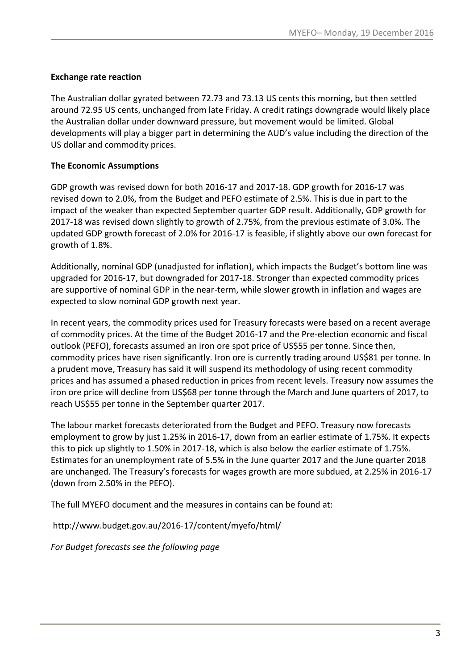#### **Exchange rate reaction**

The Australian dollar gyrated between 72.73 and 73.13 US cents this morning, but then settled around 72.95 US cents, unchanged from late Friday. A credit ratings downgrade would likely place the Australian dollar under downward pressure, but movement would be limited. Global developments will play a bigger part in determining the AUD's value including the direction of the US dollar and commodity prices.

## **The Economic Assumptions**

GDP growth was revised down for both 2016-17 and 2017-18. GDP growth for 2016-17 was revised down to 2.0%, from the Budget and PEFO estimate of 2.5%. This is due in part to the impact of the weaker than expected September quarter GDP result. Additionally, GDP growth for 2017-18 was revised down slightly to growth of 2.75%, from the previous estimate of 3.0%. The updated GDP growth forecast of 2.0% for 2016-17 is feasible, if slightly above our own forecast for growth of 1.8%.

Additionally, nominal GDP (unadjusted for inflation), which impacts the Budget's bottom line was upgraded for 2016-17, but downgraded for 2017-18. Stronger than expected commodity prices are supportive of nominal GDP in the near-term, while slower growth in inflation and wages are expected to slow nominal GDP growth next year.

In recent years, the commodity prices used for Treasury forecasts were based on a recent average of commodity prices. At the time of the Budget 2016-17 and the Pre-election economic and fiscal outlook (PEFO), forecasts assumed an iron ore spot price of US\$55 per tonne. Since then, commodity prices have risen significantly. Iron ore is currently trading around US\$81 per tonne. In a prudent move, Treasury has said it will suspend its methodology of using recent commodity prices and has assumed a phased reduction in prices from recent levels. Treasury now assumes the iron ore price will decline from US\$68 per tonne through the March and June quarters of 2017, to reach US\$55 per tonne in the September quarter 2017.

The labour market forecasts deteriorated from the Budget and PEFO. Treasury now forecasts employment to grow by just 1.25% in 2016-17, down from an earlier estimate of 1.75%. It expects this to pick up slightly to 1.50% in 2017-18, which is also below the earlier estimate of 1.75%. Estimates for an unemployment rate of 5.5% in the June quarter 2017 and the June quarter 2018 are unchanged. The Treasury's forecasts for wages growth are more subdued, at 2.25% in 2016-17 (down from 2.50% in the PEFO).

The full MYEFO document and the measures in contains can be found at:

http://www.budget.gov.au/2016-17/content/myefo/html/

*For Budget forecasts see the following page*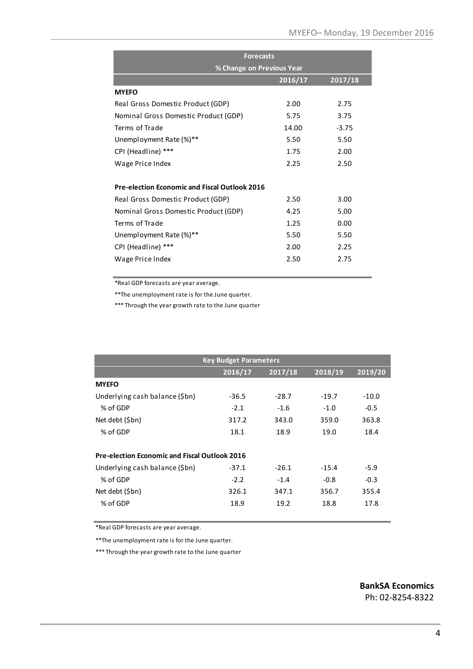|                                                      | <b>Forecasts</b>          |         |  |  |  |
|------------------------------------------------------|---------------------------|---------|--|--|--|
|                                                      | % Change on Previous Year |         |  |  |  |
|                                                      | 2016/17                   | 2017/18 |  |  |  |
| <b>MYEFO</b>                                         |                           |         |  |  |  |
| Real Gross Domestic Product (GDP)                    | 2.00                      | 2.75    |  |  |  |
| Nominal Gross Domestic Product (GDP)                 | 5.75                      | 3.75    |  |  |  |
| Terms of Trade                                       | 14.00                     | $-3.75$ |  |  |  |
| Unemployment Rate (%)**                              | 5.50                      | 5.50    |  |  |  |
| CPI (Headline) ***                                   | 1.75                      | 2.00    |  |  |  |
| Wage Price Index                                     | 2.25                      | 2.50    |  |  |  |
|                                                      |                           |         |  |  |  |
| <b>Pre-election Economic and Fiscal Outlook 2016</b> |                           |         |  |  |  |
| Real Gross Domestic Product (GDP)                    | 2.50                      | 3.00    |  |  |  |
| Nominal Gross Domestic Product (GDP)                 | 4.25                      | 5.00    |  |  |  |
| Terms of Trade                                       | 1.25                      | 0.00    |  |  |  |
| Unemployment Rate (%)**                              | 5.50                      | 5.50    |  |  |  |
| CPI (Headline) ***                                   | 2.00                      | 2.25    |  |  |  |
| Wage Price Index                                     | 2.50                      | 2.75    |  |  |  |
|                                                      |                           |         |  |  |  |

\*Real GDP forecasts are year average.

\*\*The unemployment rate is for the June quarter.

\*\*\* Through the year growth rate to the June quarter

| <b>Key Budget Parameters</b>                         |         |         |         |         |  |  |
|------------------------------------------------------|---------|---------|---------|---------|--|--|
|                                                      | 2016/17 | 2017/18 | 2018/19 | 2019/20 |  |  |
| <b>MYEFO</b>                                         |         |         |         |         |  |  |
| Underlying cash balance (\$bn)                       | $-36.5$ | $-28.7$ | $-19.7$ | $-10.0$ |  |  |
| % of GDP                                             | $-2.1$  | $-1.6$  | $-1.0$  | $-0.5$  |  |  |
| Net debt (\$bn)                                      | 317.2   | 343.0   | 359.0   | 363.8   |  |  |
| % of GDP                                             | 18.1    | 18.9    | 19.0    | 18.4    |  |  |
| <b>Pre-election Economic and Fiscal Outlook 2016</b> |         |         |         |         |  |  |
| Underlying cash balance (\$bn)                       | $-37.1$ | $-26.1$ | $-15.4$ | $-5.9$  |  |  |
| % of GDP                                             | $-2.2$  | $-1.4$  | $-0.8$  | $-0.3$  |  |  |
| Net debt (\$bn)                                      | 326.1   | 347.1   | 356.7   | 355.4   |  |  |
| % of GDP                                             | 18.9    | 19.2    | 18.8    | 17.8    |  |  |

\*Real GDP forecasts are year average.

\*\*The unemployment rate is for the June quarter.

\*\*\* Through the year growth rate to the June quarter

**BankSA Economics** Ph: 02-8254-8322